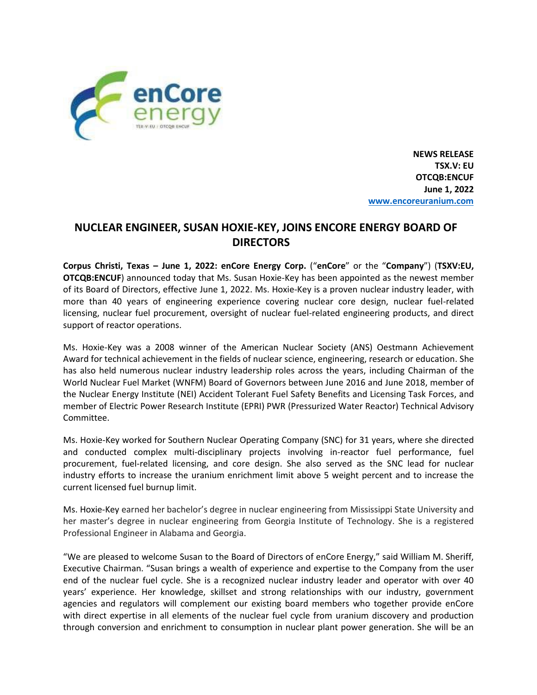

**NEWS RELEASE TSX.V: EU OTCQB:ENCUF June 1, 2022 [www.encoreuranium.com](http://www.encoreuranium.com/)**

## **NUCLEAR ENGINEER, SUSAN HOXIE-KEY, JOINS ENCORE ENERGY BOARD OF DIRECTORS**

**Corpus Christi, Texas – June 1, 2022: enCore Energy Corp.** ("**enCore**" or the "**Company**") (**TSXV:EU, OTCQB:ENCUF**) announced today that Ms. Susan Hoxie-Key has been appointed as the newest member of its Board of Directors, effective June 1, 2022. Ms. Hoxie-Key is a proven nuclear industry leader, with more than 40 years of engineering experience covering nuclear core design, nuclear fuel-related licensing, nuclear fuel procurement, oversight of nuclear fuel-related engineering products, and direct support of reactor operations.

Ms. Hoxie-Key was a 2008 winner of the American Nuclear Society (ANS) Oestmann Achievement Award for technical achievement in the fields of nuclear science, engineering, research or education. She has also held numerous nuclear industry leadership roles across the years, including Chairman of the World Nuclear Fuel Market (WNFM) Board of Governors between June 2016 and June 2018, member of the Nuclear Energy Institute (NEI) Accident Tolerant Fuel Safety Benefits and Licensing Task Forces, and member of Electric Power Research Institute (EPRI) PWR (Pressurized Water Reactor) Technical Advisory Committee.

Ms. Hoxie-Key worked for Southern Nuclear Operating Company (SNC) for 31 years, where she directed and conducted complex multi-disciplinary projects involving in-reactor fuel performance, fuel procurement, fuel-related licensing, and core design. She also served as the SNC lead for nuclear industry efforts to increase the uranium enrichment limit above 5 weight percent and to increase the current licensed fuel burnup limit.

Ms. Hoxie-Key earned her bachelor's degree in nuclear engineering from Mississippi State University and her master's degree in nuclear engineering from Georgia Institute of Technology. She is a registered Professional Engineer in Alabama and Georgia.

"We are pleased to welcome Susan to the Board of Directors of enCore Energy," said William M. Sheriff, Executive Chairman. "Susan brings a wealth of experience and expertise to the Company from the user end of the nuclear fuel cycle. She is a recognized nuclear industry leader and operator with over 40 years' experience. Her knowledge, skillset and strong relationships with our industry, government agencies and regulators will complement our existing board members who together provide enCore with direct expertise in all elements of the nuclear fuel cycle from uranium discovery and production through conversion and enrichment to consumption in nuclear plant power generation. She will be an